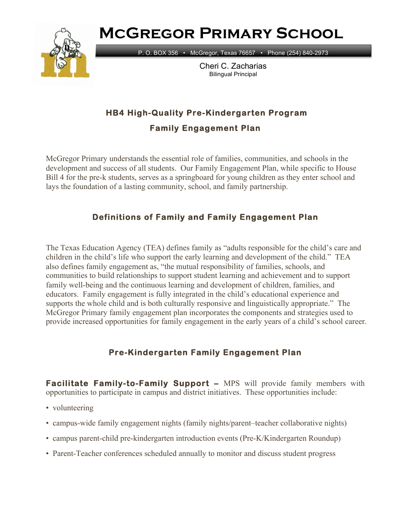**McGregor Primary School**



P. O. BOX 356 • McGregor, Texas 76657 • Phone (254) 840-2973

Cheri C. Zacharias Bilingual Principal

# **HB4 High-Quality Pre-Kindergarten Program**

**Family Engagement Plan** 

McGregor Primary understands the essential role of families, communities, and schools in the development and success of all students. Our Family Engagement Plan, while specific to House Bill 4 for the pre-k students, serves as a springboard for young children as they enter school and lays the foundation of a lasting community, school, and family partnership.

## **Definitions of Family and Family Engagement Plan**

The Texas Education Agency (TEA) defines family as "adults responsible for the child's care and children in the child's life who support the early learning and development of the child." TEA also defines family engagement as, "the mutual responsibility of families, schools, and communities to build relationships to support student learning and achievement and to support family well-being and the continuous learning and development of children, families, and educators. Family engagement is fully integrated in the child's educational experience and supports the whole child and is both culturally responsive and linguistically appropriate." The McGregor Primary family engagement plan incorporates the components and strategies used to provide increased opportunities for family engagement in the early years of a child's school career.

## **Pre-Kindergarten Family Engagement Plan**

**Facilitate Family-to-Family Support –** MPS will provide family members with opportunities to participate in campus and district initiatives. These opportunities include:

- volunteering
- campus-wide family engagement nights (family nights/parent–teacher collaborative nights)
- campus parent-child pre-kindergarten introduction events (Pre-K/Kindergarten Roundup)
- Parent-Teacher conferences scheduled annually to monitor and discuss student progress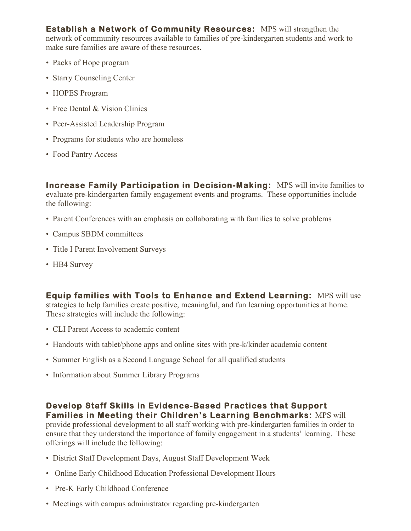**Establish a Network of Community Resources:** MPS will strengthen the network of community resources available to families of pre-kindergarten students and work to make sure families are aware of these resources.

- Packs of Hope program
- Starry Counseling Center
- HOPES Program
- Free Dental & Vision Clinics
- Peer-Assisted Leadership Program
- Programs for students who are homeless
- Food Pantry Access

**Increase Family Participation in Decision-Making:** MPS will invite families to evaluate pre-kindergarten family engagement events and programs. These opportunities include the following:

- Parent Conferences with an emphasis on collaborating with families to solve problems
- Campus SBDM committees
- Title I Parent Involvement Surveys
- HB4 Survey

**Equip families with Tools to Enhance and Extend Learning:** MPS will use strategies to help families create positive, meaningful, and fun learning opportunities at home. These strategies will include the following:

- CLI Parent Access to academic content
- Handouts with tablet/phone apps and online sites with pre-k/kinder academic content
- Summer English as a Second Language School for all qualified students
- Information about Summer Library Programs

#### **Develop Staff Skills in Evidence-Based Practices that Support Families in Meeting their Children's Learning Benchmarks:** MPS will

provide professional development to all staff working with pre-kindergarten families in order to ensure that they understand the importance of family engagement in a students' learning. These offerings will include the following:

- District Staff Development Days, August Staff Development Week
- Online Early Childhood Education Professional Development Hours
- Pre-K Early Childhood Conference
- Meetings with campus administrator regarding pre-kindergarten